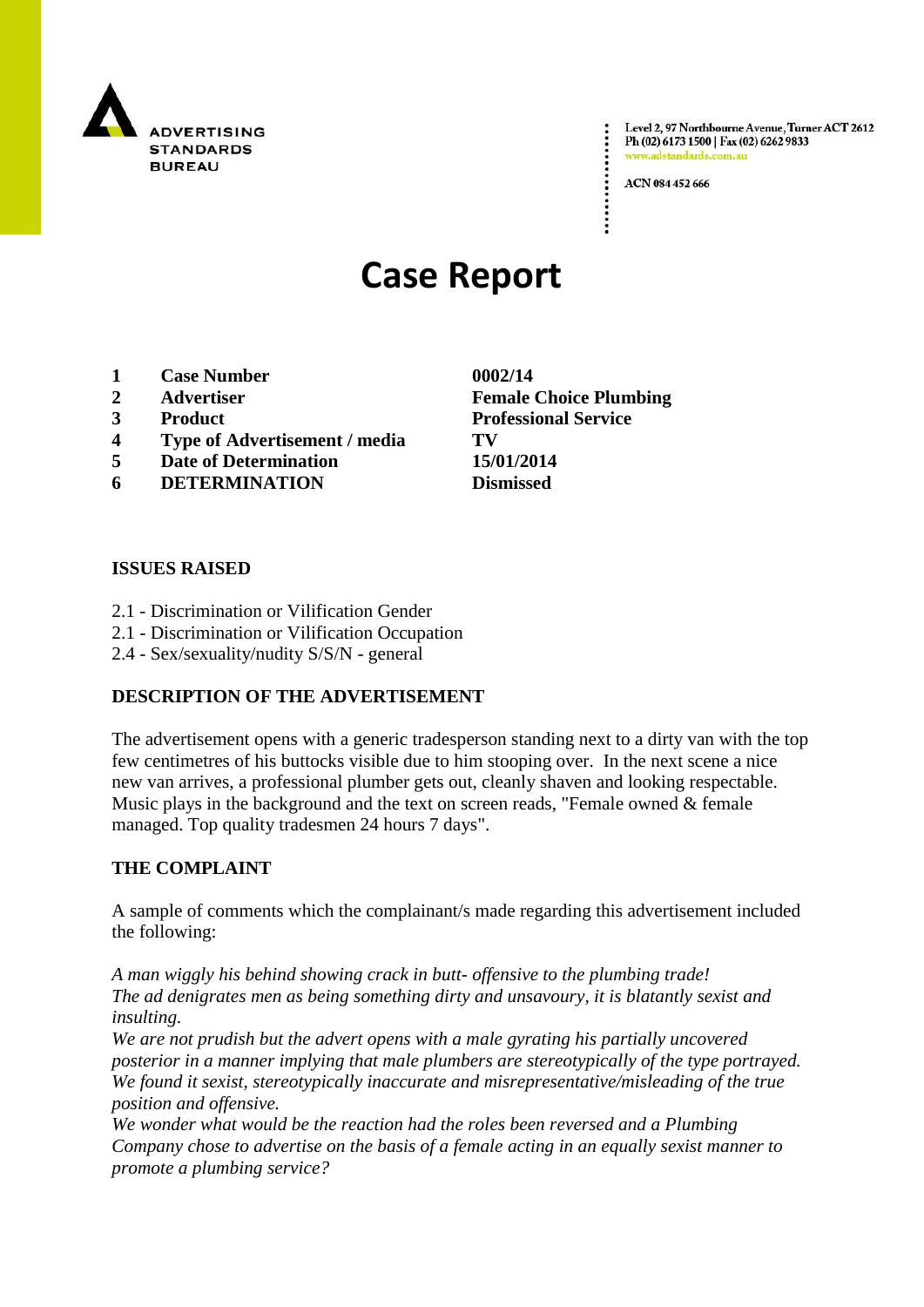

Level 2, 97 Northbourne Avenue, Turner ACT 2612 Ph (02) 6173 1500 | Fax (02) 6262 9833 www.adstandards.c

ACN 084 452 666

# **Case Report**

- **1 Case Number 0002/14**
- 
- 
- **4 Type of Advertisement / media TV**
- **5 Date of Determination 15/01/2014**
- **6 DETERMINATION Dismissed**

#### **ISSUES RAISED**

- 2.1 Discrimination or Vilification Gender
- 2.1 Discrimination or Vilification Occupation
- 2.4 Sex/sexuality/nudity S/S/N general

#### **DESCRIPTION OF THE ADVERTISEMENT**

The advertisement opens with a generic tradesperson standing next to a dirty van with the top few centimetres of his buttocks visible due to him stooping over. In the next scene a nice new van arrives, a professional plumber gets out, cleanly shaven and looking respectable. Music plays in the background and the text on screen reads, "Female owned & female managed. Top quality tradesmen 24 hours 7 days".

#### **THE COMPLAINT**

A sample of comments which the complainant/s made regarding this advertisement included the following:

*A man wiggly his behind showing crack in butt- offensive to the plumbing trade! The ad denigrates men as being something dirty and unsavoury, it is blatantly sexist and insulting.*

*We are not prudish but the advert opens with a male gyrating his partially uncovered posterior in a manner implying that male plumbers are stereotypically of the type portrayed. We found it sexist, stereotypically inaccurate and misrepresentative/misleading of the true position and offensive.*

*We wonder what would be the reaction had the roles been reversed and a Plumbing Company chose to advertise on the basis of a female acting in an equally sexist manner to promote a plumbing service?*

**2 Advertiser Female Choice Plumbing 3 Product Professional Service**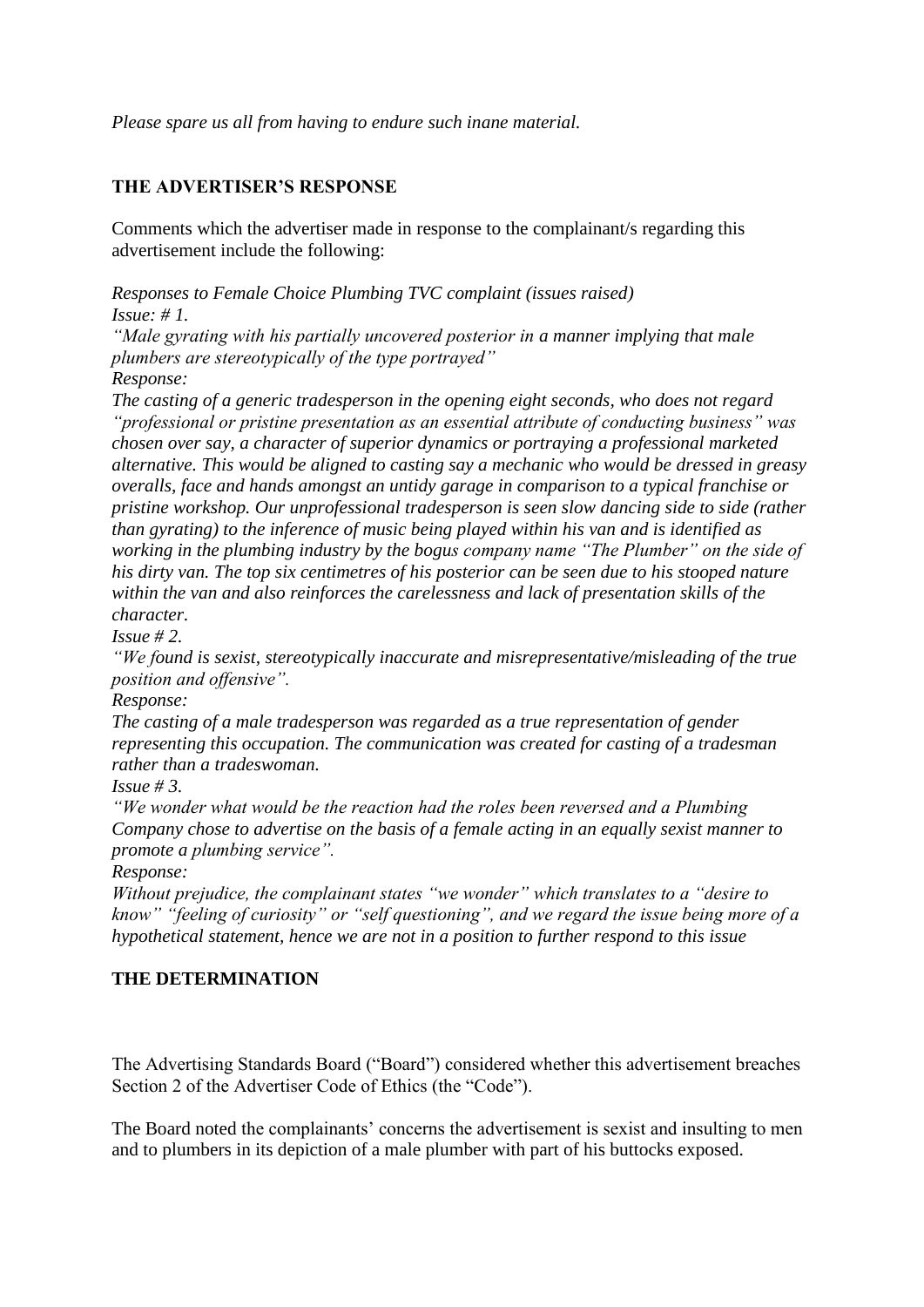*Please spare us all from having to endure such inane material.*

## **THE ADVERTISER'S RESPONSE**

Comments which the advertiser made in response to the complainant/s regarding this advertisement include the following:

*Responses to Female Choice Plumbing TVC complaint (issues raised) Issue: # 1.*

*"Male gyrating with his partially uncovered posterior in a manner implying that male plumbers are stereotypically of the type portrayed"*

*Response:*

*The casting of a generic tradesperson in the opening eight seconds, who does not regard "professional or pristine presentation as an essential attribute of conducting business" was chosen over say, a character of superior dynamics or portraying a professional marketed alternative. This would be aligned to casting say a mechanic who would be dressed in greasy overalls, face and hands amongst an untidy garage in comparison to a typical franchise or pristine workshop. Our unprofessional tradesperson is seen slow dancing side to side (rather than gyrating) to the inference of music being played within his van and is identified as working in the plumbing industry by the bogus company name "The Plumber" on the side of his dirty van. The top six centimetres of his posterior can be seen due to his stooped nature within the van and also reinforces the carelessness and lack of presentation skills of the character.*

*Issue # 2.*

*"We found is sexist, stereotypically inaccurate and misrepresentative/misleading of the true position and offensive".*

*Response:*

*The casting of a male tradesperson was regarded as a true representation of gender representing this occupation. The communication was created for casting of a tradesman rather than a tradeswoman.*

*Issue # 3.*

*"We wonder what would be the reaction had the roles been reversed and a Plumbing Company chose to advertise on the basis of a female acting in an equally sexist manner to promote a plumbing service".*

*Response:*

*Without prejudice, the complainant states "we wonder" which translates to a "desire to know" "feeling of curiosity" or "self questioning", and we regard the issue being more of a hypothetical statement, hence we are not in a position to further respond to this issue*

### **THE DETERMINATION**

The Advertising Standards Board ("Board") considered whether this advertisement breaches Section 2 of the Advertiser Code of Ethics (the "Code").

The Board noted the complainants' concerns the advertisement is sexist and insulting to men and to plumbers in its depiction of a male plumber with part of his buttocks exposed.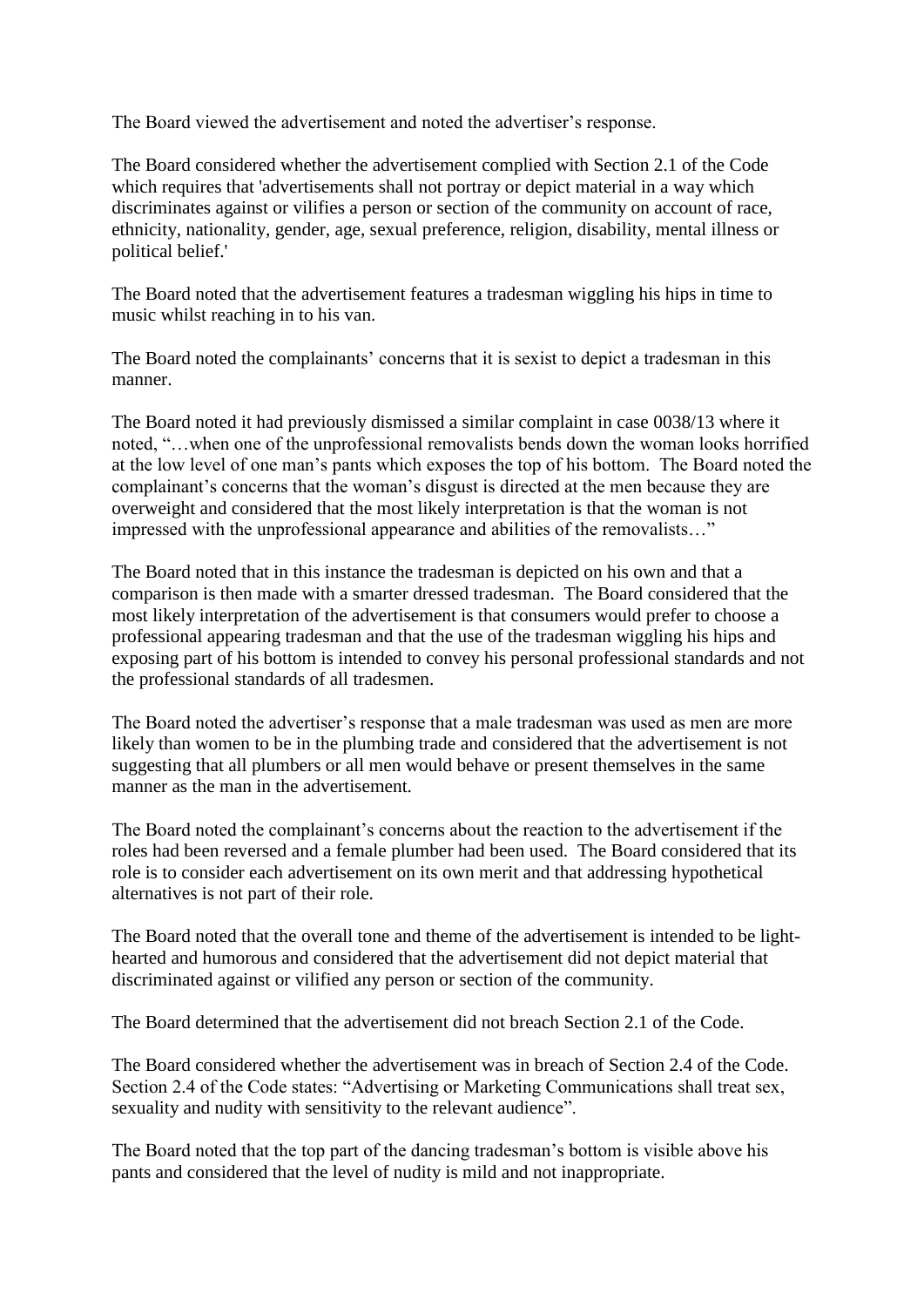The Board viewed the advertisement and noted the advertiser's response.

The Board considered whether the advertisement complied with Section 2.1 of the Code which requires that 'advertisements shall not portray or depict material in a way which discriminates against or vilifies a person or section of the community on account of race, ethnicity, nationality, gender, age, sexual preference, religion, disability, mental illness or political belief.'

The Board noted that the advertisement features a tradesman wiggling his hips in time to music whilst reaching in to his van.

The Board noted the complainants' concerns that it is sexist to depict a tradesman in this manner.

The Board noted it had previously dismissed a similar complaint in case 0038/13 where it noted, "…when one of the unprofessional removalists bends down the woman looks horrified at the low level of one man's pants which exposes the top of his bottom. The Board noted the complainant's concerns that the woman's disgust is directed at the men because they are overweight and considered that the most likely interpretation is that the woman is not impressed with the unprofessional appearance and abilities of the removalists…"

The Board noted that in this instance the tradesman is depicted on his own and that a comparison is then made with a smarter dressed tradesman. The Board considered that the most likely interpretation of the advertisement is that consumers would prefer to choose a professional appearing tradesman and that the use of the tradesman wiggling his hips and exposing part of his bottom is intended to convey his personal professional standards and not the professional standards of all tradesmen.

The Board noted the advertiser's response that a male tradesman was used as men are more likely than women to be in the plumbing trade and considered that the advertisement is not suggesting that all plumbers or all men would behave or present themselves in the same manner as the man in the advertisement.

The Board noted the complainant's concerns about the reaction to the advertisement if the roles had been reversed and a female plumber had been used. The Board considered that its role is to consider each advertisement on its own merit and that addressing hypothetical alternatives is not part of their role.

The Board noted that the overall tone and theme of the advertisement is intended to be lighthearted and humorous and considered that the advertisement did not depict material that discriminated against or vilified any person or section of the community.

The Board determined that the advertisement did not breach Section 2.1 of the Code.

The Board considered whether the advertisement was in breach of Section 2.4 of the Code. Section 2.4 of the Code states: "Advertising or Marketing Communications shall treat sex, sexuality and nudity with sensitivity to the relevant audience".

The Board noted that the top part of the dancing tradesman's bottom is visible above his pants and considered that the level of nudity is mild and not inappropriate.